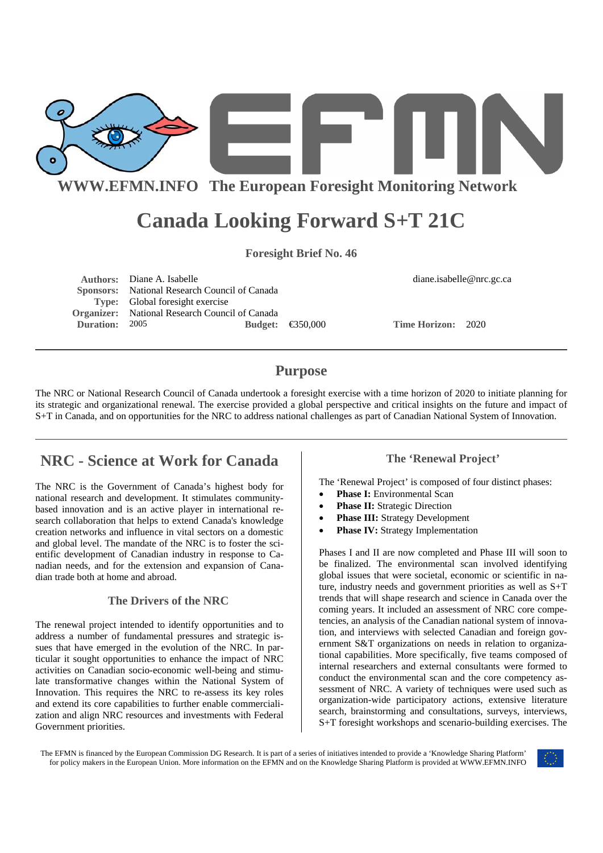

**WWW.EFMN.INFO The European Foresight Monitoring Network**

# **Canada Looking Forward S+T 21C**

**Foresight Brief No. 46** 

|                       | <b>Authors:</b> Diane A. Isabelle                     |  |                            | diane.isabelle@nrc.gc.ca  |  |
|-----------------------|-------------------------------------------------------|--|----------------------------|---------------------------|--|
|                       | Sponsors: National Research Council of Canada         |  |                            |                           |  |
|                       | <b>Type:</b> Global foresight exercise                |  |                            |                           |  |
|                       | <b>Organizer:</b> National Research Council of Canada |  |                            |                           |  |
| <b>Duration:</b> 2005 |                                                       |  | Budget: $\bigoplus 50,000$ | <b>Time Horizon: 2020</b> |  |

# **Purpose**

The NRC or National Research Council of Canada undertook a foresight exercise with a time horizon of 2020 to initiate planning for its strategic and organizational renewal. The exercise provided a global perspective and critical insights on the future and impact of S+T in Canada, and on opportunities for the NRC to address national challenges as part of Canadian National System of Innovation.

# **NRC - Science at Work for Canada**

The NRC is the Government of Canada's highest body for national research and development. It stimulates communitybased innovation and is an active player in international research collaboration that helps to extend Canada's knowledge creation networks and influence in vital sectors on a domestic and global level. The mandate of the NRC is to foster the scientific development of Canadian industry in response to Canadian needs, and for the extension and expansion of Canadian trade both at home and abroad.

#### **The Drivers of the NRC**

The renewal project intended to identify opportunities and to address a number of fundamental pressures and strategic issues that have emerged in the evolution of the NRC. In particular it sought opportunities to enhance the impact of NRC activities on Canadian socio-economic well-being and stimulate transformative changes within the National System of Innovation. This requires the NRC to re-assess its key roles and extend its core capabilities to further enable commercialization and align NRC resources and investments with Federal Government priorities.

### **The 'Renewal Project'**

The 'Renewal Project' is composed of four distinct phases:

- **Phase I:** Environmental Scan
- **Phase II:** Strategic Direction
- **Phase III:** Strategy Development
- **Phase IV:** Strategy Implementation

Phases I and II are now completed and Phase III will soon to be finalized. The environmental scan involved identifying global issues that were societal, economic or scientific in nature, industry needs and government priorities as well as S+T trends that will shape research and science in Canada over the coming years. It included an assessment of NRC core competencies, an analysis of the Canadian national system of innovation, and interviews with selected Canadian and foreign government S&T organizations on needs in relation to organizational capabilities. More specifically, five teams composed of internal researchers and external consultants were formed to conduct the environmental scan and the core competency assessment of NRC. A variety of techniques were used such as organization-wide participatory actions, extensive literature search, brainstorming and consultations, surveys, interviews, S+T foresight workshops and scenario-building exercises. The

The EFMN is financed by the European Commission DG Research. It is part of a series of initiatives intended to provide a 'Knowledge Sharing Platform' for policy makers in the European Union. More information on the EFMN and on the Knowledge Sharing Platform is provided at WWW.EFMN.INFO

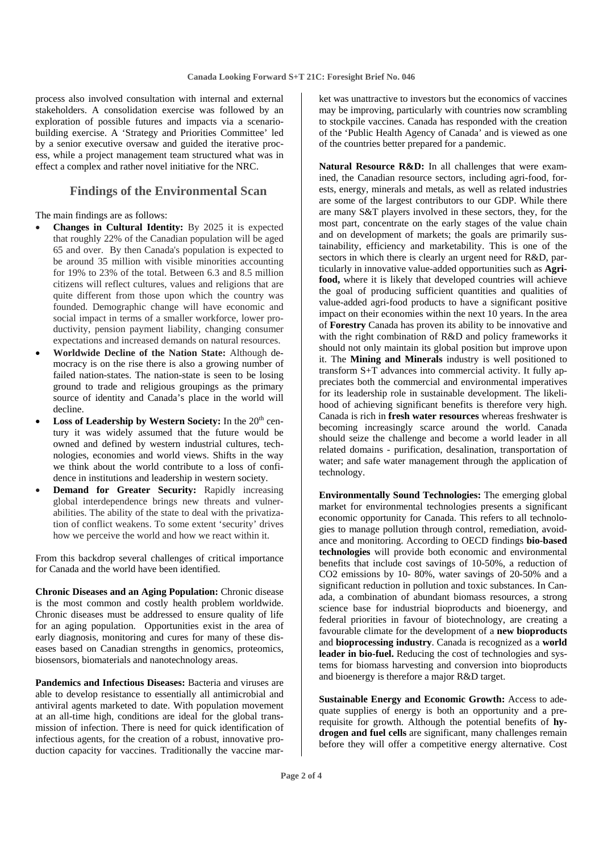process also involved consultation with internal and external stakeholders. A consolidation exercise was followed by an exploration of possible futures and impacts via a scenariobuilding exercise. A 'Strategy and Priorities Committee' led by a senior executive oversaw and guided the iterative process, while a project management team structured what was in effect a complex and rather novel initiative for the NRC.

#### **Findings of the Environmental Scan**

The main findings are as follows:

- **Changes in Cultural Identity:** By 2025 it is expected that roughly 22% of the Canadian population will be aged 65 and over. By then Canada's population is expected to be around 35 million with visible minorities accounting for 19% to 23% of the total. Between 6.3 and 8.5 million citizens will reflect cultures, values and religions that are quite different from those upon which the country was founded. Demographic change will have economic and social impact in terms of a smaller workforce, lower productivity, pension payment liability, changing consumer expectations and increased demands on natural resources.
- **Worldwide Decline of the Nation State:** Although democracy is on the rise there is also a growing number of failed nation-states. The nation-state is seen to be losing ground to trade and religious groupings as the primary source of identity and Canada's place in the world will decline.
- **Loss of Leadership by Western Society:** In the 20<sup>th</sup> century it was widely assumed that the future would be owned and defined by western industrial cultures, technologies, economies and world views. Shifts in the way we think about the world contribute to a loss of confidence in institutions and leadership in western society.
- **Demand for Greater Security:** Rapidly increasing global interdependence brings new threats and vulnerabilities. The ability of the state to deal with the privatization of conflict weakens. To some extent 'security' drives how we perceive the world and how we react within it.

From this backdrop several challenges of critical importance for Canada and the world have been identified.

**Chronic Diseases and an Aging Population:** Chronic disease is the most common and costly health problem worldwide. Chronic diseases must be addressed to ensure quality of life for an aging population. Opportunities exist in the area of early diagnosis, monitoring and cures for many of these diseases based on Canadian strengths in genomics, proteomics, biosensors, biomaterials and nanotechnology areas.

**Pandemics and Infectious Diseases:** Bacteria and viruses are able to develop resistance to essentially all antimicrobial and antiviral agents marketed to date. With population movement at an all-time high, conditions are ideal for the global transmission of infection. There is need for quick identification of infectious agents, for the creation of a robust, innovative production capacity for vaccines. Traditionally the vaccine market was unattractive to investors but the economics of vaccines may be improving, particularly with countries now scrambling to stockpile vaccines. Canada has responded with the creation of the 'Public Health Agency of Canada' and is viewed as one of the countries better prepared for a pandemic.

**Natural Resource R&D:** In all challenges that were examined, the Canadian resource sectors, including agri-food, forests, energy, minerals and metals, as well as related industries are some of the largest contributors to our GDP. While there are many S&T players involved in these sectors, they, for the most part, concentrate on the early stages of the value chain and on development of markets; the goals are primarily sustainability, efficiency and marketability. This is one of the sectors in which there is clearly an urgent need for R&D, particularly in innovative value-added opportunities such as **Agrifood,** where it is likely that developed countries will achieve the goal of producing sufficient quantities and qualities of value-added agri-food products to have a significant positive impact on their economies within the next 10 years. In the area of **Forestry** Canada has proven its ability to be innovative and with the right combination of R&D and policy frameworks it should not only maintain its global position but improve upon it. The **Mining and Minerals** industry is well positioned to transform S+T advances into commercial activity. It fully appreciates both the commercial and environmental imperatives for its leadership role in sustainable development. The likelihood of achieving significant benefits is therefore very high. Canada is rich in **fresh water resources** whereas freshwater is becoming increasingly scarce around the world. Canada should seize the challenge and become a world leader in all related domains - purification, desalination, transportation of water; and safe water management through the application of technology.

**Environmentally Sound Technologies:** The emerging global market for environmental technologies presents a significant economic opportunity for Canada. This refers to all technologies to manage pollution through control, remediation, avoidance and monitoring. According to OECD findings **bio-based technologies** will provide both economic and environmental benefits that include cost savings of 10-50%, a reduction of CO2 emissions by 10- 80%, water savings of 20-50% and a significant reduction in pollution and toxic substances. In Canada, a combination of abundant biomass resources, a strong science base for industrial bioproducts and bioenergy, and federal priorities in favour of biotechnology, are creating a favourable climate for the development of a **new bioproducts** and **bioprocessing industry**. Canada is recognized as a **world leader in bio-fuel.** Reducing the cost of technologies and systems for biomass harvesting and conversion into bioproducts and bioenergy is therefore a major R&D target.

**Sustainable Energy and Economic Growth:** Access to adequate supplies of energy is both an opportunity and a prerequisite for growth. Although the potential benefits of **hydrogen and fuel cells** are significant, many challenges remain before they will offer a competitive energy alternative. Cost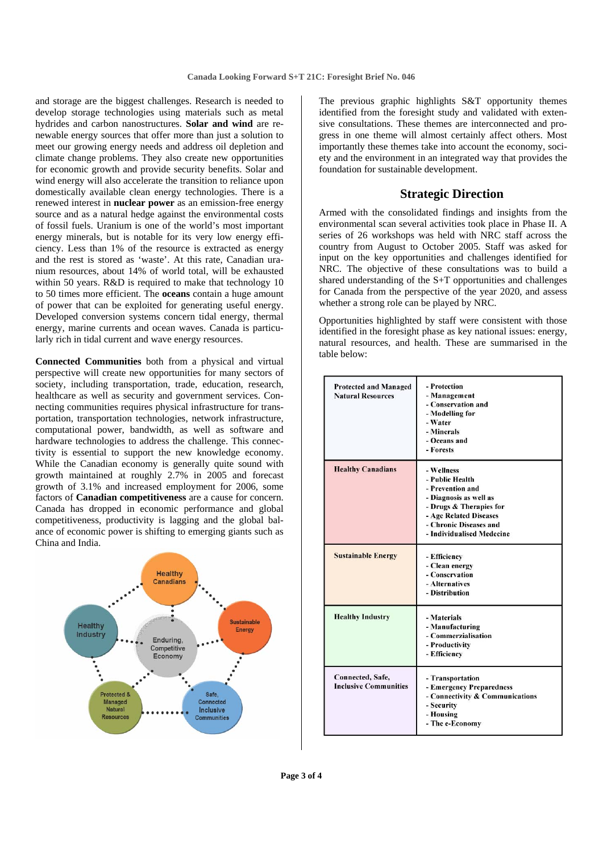and storage are the biggest challenges. Research is needed to develop storage technologies using materials such as metal hydrides and carbon nanostructures. **Solar and wind** are renewable energy sources that offer more than just a solution to meet our growing energy needs and address oil depletion and climate change problems. They also create new opportunities for economic growth and provide security benefits. Solar and wind energy will also accelerate the transition to reliance upon domestically available clean energy technologies. There is a renewed interest in **nuclear power** as an emission-free energy source and as a natural hedge against the environmental costs of fossil fuels. Uranium is one of the world's most important energy minerals, but is notable for its very low energy efficiency. Less than 1% of the resource is extracted as energy and the rest is stored as 'waste'. At this rate, Canadian uranium resources, about 14% of world total, will be exhausted within 50 years. R&D is required to make that technology 10 to 50 times more efficient. The **oceans** contain a huge amount of power that can be exploited for generating useful energy. Developed conversion systems concern tidal energy, thermal energy, marine currents and ocean waves. Canada is particularly rich in tidal current and wave energy resources.

**Connected Communities** both from a physical and virtual perspective will create new opportunities for many sectors of society, including transportation, trade, education, research, healthcare as well as security and government services. Connecting communities requires physical infrastructure for transportation, transportation technologies, network infrastructure, computational power, bandwidth, as well as software and hardware technologies to address the challenge. This connectivity is essential to support the new knowledge economy. While the Canadian economy is generally quite sound with growth maintained at roughly 2.7% in 2005 and forecast growth of 3.1% and increased employment for 2006, some factors of **Canadian competitiveness** are a cause for concern. Canada has dropped in economic performance and global competitiveness, productivity is lagging and the global balance of economic power is shifting to emerging giants such as China and India.



The previous graphic highlights S&T opportunity themes identified from the foresight study and validated with extensive consultations. These themes are interconnected and progress in one theme will almost certainly affect others. Most importantly these themes take into account the economy, society and the environment in an integrated way that provides the foundation for sustainable development.

#### **Strategic Direction**

Armed with the consolidated findings and insights from the environmental scan several activities took place in Phase II. A series of 26 workshops was held with NRC staff across the country from August to October 2005. Staff was asked for input on the key opportunities and challenges identified for NRC. The objective of these consultations was to build a shared understanding of the S+T opportunities and challenges for Canada from the perspective of the year 2020, and assess whether a strong role can be played by NRC.

Opportunities highlighted by staff were consistent with those identified in the foresight phase as key national issues: energy, natural resources, and health. These are summarised in the table below:

| <b>Protected and Managed</b><br><b>Natural Resources</b> | - Protection<br>- Management<br>- Conservation and<br>- Modelling for<br>- Water<br>- Minerals<br>- Oceans and<br>- Forests                                                             |  |
|----------------------------------------------------------|-----------------------------------------------------------------------------------------------------------------------------------------------------------------------------------------|--|
| <b>Healthy Canadians</b>                                 | - Wellness<br>- Public Health<br>- Prevention and<br>- Diagnosis as well as<br>- Drugs & Therapies for<br>- Age Related Diseases<br>- Chronic Diseases and<br>- Individualised Medecine |  |
| <b>Sustainable Energy</b>                                | - Efficiency<br>- Clean energy<br>- Conservation<br>- Alternatives<br>- Distribution                                                                                                    |  |
| <b>Healthy Industry</b>                                  | - Materials<br>- Manufacturing<br>- Commerzialisation<br>- Productivity<br>- Efficiency                                                                                                 |  |
| Connected, Safe,<br><b>Inclusive Communities</b>         | - Transportation<br>- Emergency Preparedness<br>- Connectivity & Communications<br>- Security<br>- Housing<br>- The e-Economy                                                           |  |